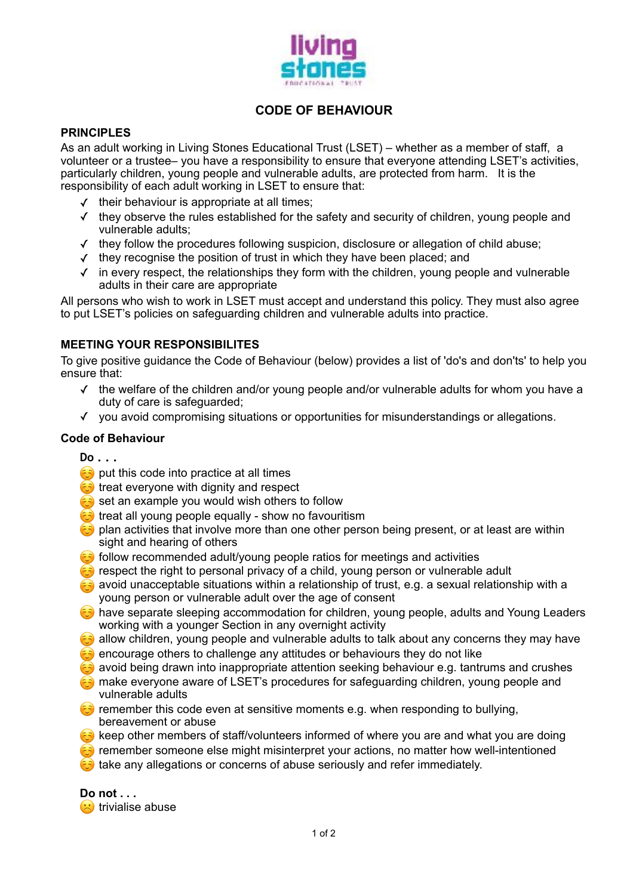

# **CODE OF BEHAVIOUR**

### **PRINCIPLES**

As an adult working in Living Stones Educational Trust (LSET) – whether as a member of staff, a volunteer or a trustee– you have a responsibility to ensure that everyone attending LSET's activities, particularly children, young people and vulnerable adults, are protected from harm. It is the responsibility of each adult working in LSET to ensure that:

- ✓ their behaviour is appropriate at all times;
- ✓ they observe the rules established for the safety and security of children, young people and vulnerable adults;
- ✓ they follow the procedures following suspicion, disclosure or allegation of child abuse;
- ✓ they recognise the position of trust in which they have been placed; and
- $\checkmark$  in every respect, the relationships they form with the children, young people and vulnerable adults in their care are appropriate

All persons who wish to work in LSET must accept and understand this policy. They must also agree to put LSET's policies on safeguarding children and vulnerable adults into practice.

## **MEETING YOUR RESPONSIBILITES**

To give positive guidance the Code of Behaviour (below) provides a list of 'do's and don'ts' to help you ensure that:

- ✓ the welfare of the children and/or young people and/or vulnerable adults for whom you have a duty of care is safeguarded;
- ✓ you avoid compromising situations or opportunities for misunderstandings or allegations.

#### **Code of Behaviour**

**Do . . .** 

- $\bigodot$  put this code into practice at all times
- $\bigodot$  treat everyone with dignity and respect
- set an example you would wish others to follow
- $\odot$  treat all young people equally show no favouritism
- $\bigodot$  plan activities that involve more than one other person being present, or at least are within sight and hearing of others
- ☺ follow recommended adult/young people ratios for meetings and activities
- ☺ respect the right to personal privacy of a child, young person or vulnerable adult
- solar avoid unacceptable situations within a relationship of trust, e.g. a sexual relationship with a young person or vulnerable adult over the age of consent
- ta have separate sleeping accommodation for children, young people, adults and Young Leaders working with a younger Section in any overnight activity
- $\bigodot$  allow children, young people and vulnerable adults to talk about any concerns they may have
- $\bigodot$  encourage others to challenge any attitudes or behaviours they do not like
- $\odot$  avoid being drawn into inappropriate attention seeking behaviour e.g. tantrums and crushes
- $\odot$  make everyone aware of LSET's procedures for safeguarding children, young people and vulnerable adults
- $\odot$  remember this code even at sensitive moments e.g. when responding to bullying, bereavement or abuse
- $\bigodot$  keep other members of staff/volunteers informed of where you are and what you are doing
- ☺ remember someone else might misinterpret your actions, no matter how well-intentioned
- $\odot$  take any allegations or concerns of abuse seriously and refer immediately.

**Do not . . .** 

 $\ddot{\mathbf{c}}$  trivialise abuse